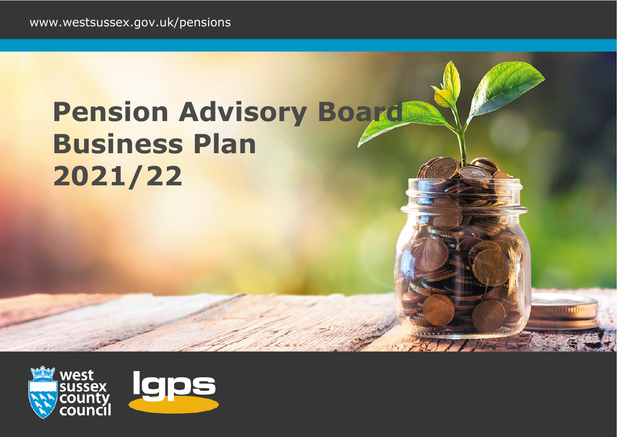# **Pension Advisory Board Business Plan 2021/22**

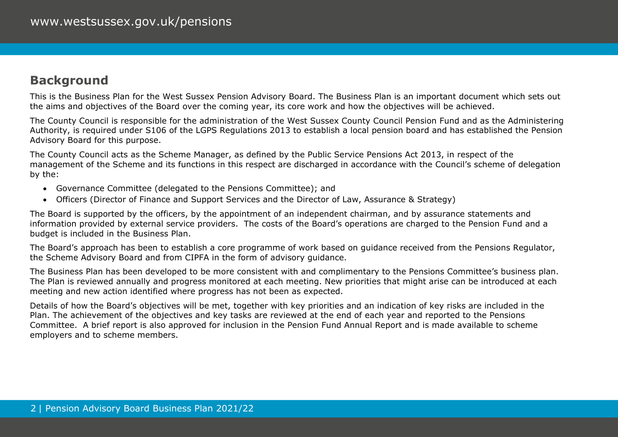# **Background**

This is the Business Plan for the West Sussex Pension Advisory Board. The Business Plan is an important document which sets out the aims and objectives of the Board over the coming year, its core work and how the objectives will be achieved.

The County Council is responsible for the administration of the West Sussex County Council Pension Fund and as the Administering Authority, is required under S106 of the LGPS Regulations 2013 to establish a local pension board and has established the Pension Advisory Board for this purpose.

The County Council acts as the Scheme Manager, as defined by the Public Service Pensions Act 2013, in respect of the management of the Scheme and its functions in this respect are discharged in accordance with the Council's scheme of delegation by the:

- Governance Committee (delegated to the Pensions Committee); and
- Officers (Director of Finance and Support Services and the Director of Law, Assurance & Strategy)

The Board is supported by the officers, by the appointment of an independent chairman, and by assurance statements and information provided by external service providers. The costs of the Board's operations are charged to the Pension Fund and a budget is included in the Business Plan.

The Board's approach has been to establish a core programme of work based on guidance received from the Pensions Regulator, the Scheme Advisory Board and from CIPFA in the form of advisory guidance.

The Business Plan has been developed to be more consistent with and complimentary to the Pensions Committee's business plan. The Plan is reviewed annually and progress monitored at each meeting. New priorities that might arise can be introduced at each meeting and new action identified where progress has not been as expected.

Details of how the Board's objectives will be met, together with key priorities and an indication of key risks are included in the Plan. The achievement of the objectives and key tasks are reviewed at the end of each year and reported to the Pensions Committee. A brief report is also approved for inclusion in the Pension Fund Annual Report and is made available to scheme employers and to scheme members.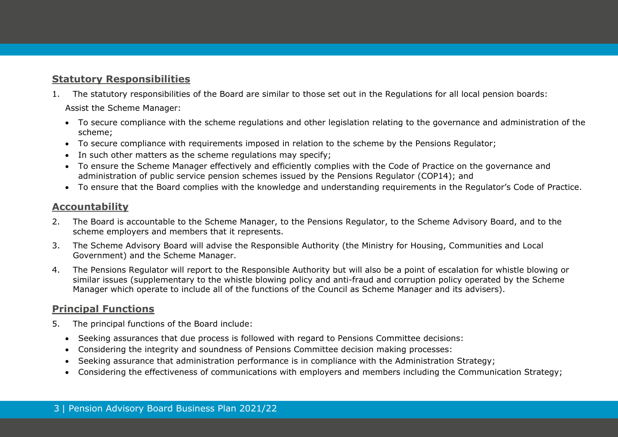## **Statutory Responsibilities**

1. The statutory responsibilities of the Board are similar to those set out in the Regulations for all local pension boards:

Assist the Scheme Manager:

- To secure compliance with the scheme regulations and other legislation relating to the governance and administration of the scheme;
- To secure compliance with requirements imposed in relation to the scheme by the Pensions Regulator;
- In such other matters as the scheme regulations may specify;
- To ensure the Scheme Manager effectively and efficiently complies with the Code of Practice on the governance and administration of public service pension schemes issued by the Pensions Regulator (COP14); and
- To ensure that the Board complies with the knowledge and understanding requirements in the Regulator's Code of Practice.

## **Accountability**

- 2. The Board is accountable to the Scheme Manager, to the Pensions Regulator, to the Scheme Advisory Board, and to the scheme employers and members that it represents.
- 3. The Scheme Advisory Board will advise the Responsible Authority (the Ministry for Housing, Communities and Local Government) and the Scheme Manager.
- 4. The Pensions Regulator will report to the Responsible Authority but will also be a point of escalation for whistle blowing or similar issues (supplementary to the whistle blowing policy and anti-fraud and corruption policy operated by the Scheme Manager which operate to include all of the functions of the Council as Scheme Manager and its advisers).

## **Principal Functions**

- 5. The principal functions of the Board include:
	- Seeking assurances that due process is followed with regard to Pensions Committee decisions:
	- Considering the integrity and soundness of Pensions Committee decision making processes:
	- Seeking assurance that administration performance is in compliance with the Administration Strategy;
	- Considering the effectiveness of communications with employers and members including the Communication Strategy;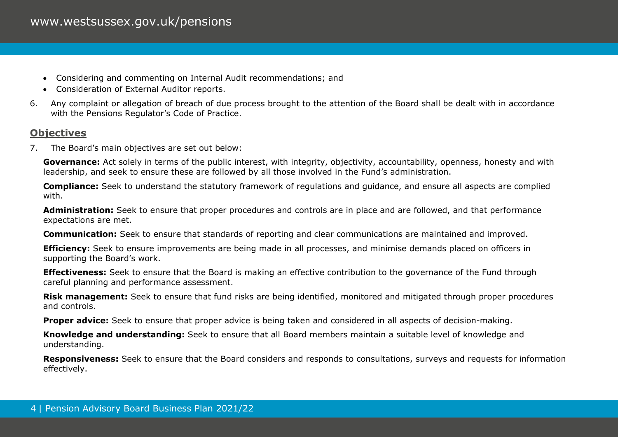- Considering and commenting on Internal Audit recommendations; and
- Consideration of External Auditor reports.
- 6. Any complaint or allegation of breach of due process brought to the attention of the Board shall be dealt with in accordance with the Pensions Regulator's Code of Practice.

## **Objectives**

7. The Board's main objectives are set out below:

**Governance:** Act solely in terms of the public interest, with integrity, objectivity, accountability, openness, honesty and with leadership, and seek to ensure these are followed by all those involved in the Fund's administration.

**Compliance:** Seek to understand the statutory framework of regulations and guidance, and ensure all aspects are complied with.

**Administration:** Seek to ensure that proper procedures and controls are in place and are followed, and that performance expectations are met.

**Communication:** Seek to ensure that standards of reporting and clear communications are maintained and improved.

**Efficiency:** Seek to ensure improvements are being made in all processes, and minimise demands placed on officers in supporting the Board's work.

**Effectiveness:** Seek to ensure that the Board is making an effective contribution to the governance of the Fund through careful planning and performance assessment.

**Risk management:** Seek to ensure that fund risks are being identified, monitored and mitigated through proper procedures and controls.

**Proper advice:** Seek to ensure that proper advice is being taken and considered in all aspects of decision-making.

**Knowledge and understanding:** Seek to ensure that all Board members maintain a suitable level of knowledge and understanding.

**Responsiveness:** Seek to ensure that the Board considers and responds to consultations, surveys and requests for information effectively.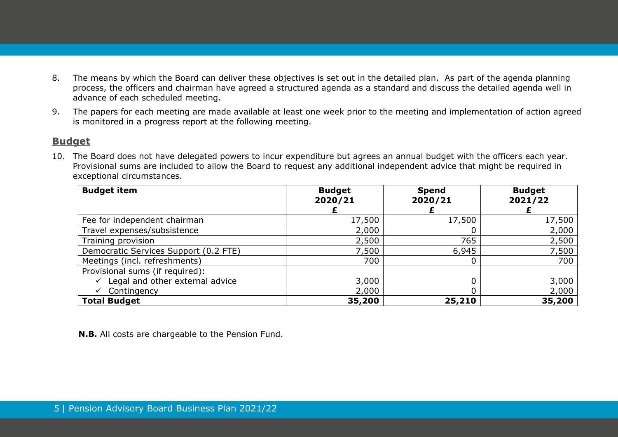- 8. The means by which the Board can deliver these objectives is set out in the detailed plan. As part of the agenda planning process, the officers and chairman have agreed a structured agenda as a standard and discuss the detailed agenda well in advance of each scheduled meeting.
- 9. The papers for each meeting are made available at least one week prior to the meeting and implementation of action agreed is monitored in a progress report at the following meeting.

#### **Budget**

10. The Board does not have delegated powers to incur expenditure but agrees an annual budget with the officers each year. Provisional sums are included to allow the Board to request any additional independent advice that might be required in exceptional circumstances.

| <b>Budget item</b>                    | <b>Budget</b><br>2020/21 | <b>Spend</b><br>2020/21 | <b>Budget</b><br>2021/22 |
|---------------------------------------|--------------------------|-------------------------|--------------------------|
|                                       |                          |                         |                          |
| Fee for independent chairman          | 17,500                   | 17,500                  | 17,500                   |
| Travel expenses/subsistence           | 2,000                    |                         | 2,000                    |
| Training provision                    | 2,500                    | 765                     | 2,500                    |
| Democratic Services Support (0.2 FTE) | 7,500                    | 6,945                   | 7,500                    |
| Meetings (incl. refreshments)         | 700                      |                         | 700                      |
| Provisional sums (if required):       |                          |                         |                          |
| Legal and other external advice       | 3,000                    |                         | 3,000                    |
| Contingency                           | 2,000                    |                         | 2,000                    |
| <b>Total Budget</b>                   | 35,200                   | 25,210                  | 35,200                   |

**N.B.** All costs are chargeable to the Pension Fund.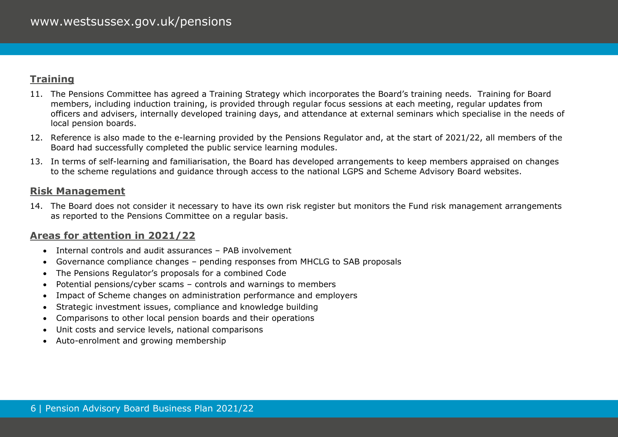## **Training**

- 11. The Pensions Committee has agreed a Training Strategy which incorporates the Board's training needs. Training for Board members, including induction training, is provided through regular focus sessions at each meeting, regular updates from officers and advisers, internally developed training days, and attendance at external seminars which specialise in the needs of local pension boards.
- 12. Reference is also made to the e-learning provided by the Pensions Regulator and, at the start of 2021/22, all members of the Board had successfully completed the public service learning modules.
- 13. In terms of self-learning and familiarisation, the Board has developed arrangements to keep members appraised on changes to the scheme regulations and guidance through access to the national LGPS and Scheme Advisory Board websites.

#### **Risk Management**

14. The Board does not consider it necessary to have its own risk register but monitors the Fund risk management arrangements as reported to the Pensions Committee on a regular basis.

## **Areas for attention in 2021/22**

- Internal controls and audit assurances PAB involvement
- Governance compliance changes pending responses from MHCLG to SAB proposals
- The Pensions Regulator's proposals for a combined Code
- Potential pensions/cyber scams controls and warnings to members
- Impact of Scheme changes on administration performance and employers
- Strategic investment issues, compliance and knowledge building
- Comparisons to other local pension boards and their operations
- Unit costs and service levels, national comparisons
- Auto-enrolment and growing membership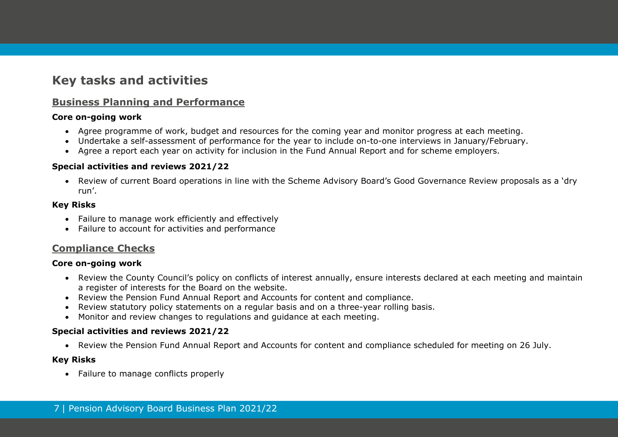# **Key tasks and activities**

## **Business Planning and Performance**

#### **Core on-going work**

- Agree programme of work, budget and resources for the coming year and monitor progress at each meeting.
- Undertake a self-assessment of performance for the year to include on-to-one interviews in January/February.
- Agree a report each year on activity for inclusion in the Fund Annual Report and for scheme employers.

#### **Special activities and reviews 2021/22**

• Review of current Board operations in line with the Scheme Advisory Board's Good Governance Review proposals as a 'dry run'.

#### **Key Risks**

- Failure to manage work efficiently and effectively
- Failure to account for activities and performance

## **Compliance Checks**

#### **Core on-going work**

- Review the County Council's policy on conflicts of interest annually, ensure interests declared at each meeting and maintain a register of interests for the Board on the website.
- Review the Pension Fund Annual Report and Accounts for content and compliance.
- Review statutory policy statements on a regular basis and on a three-year rolling basis.
- Monitor and review changes to regulations and guidance at each meeting.

#### **Special activities and reviews 2021/22**

• Review the Pension Fund Annual Report and Accounts for content and compliance scheduled for meeting on 26 July.

#### **Key Risks**

• Failure to manage conflicts properly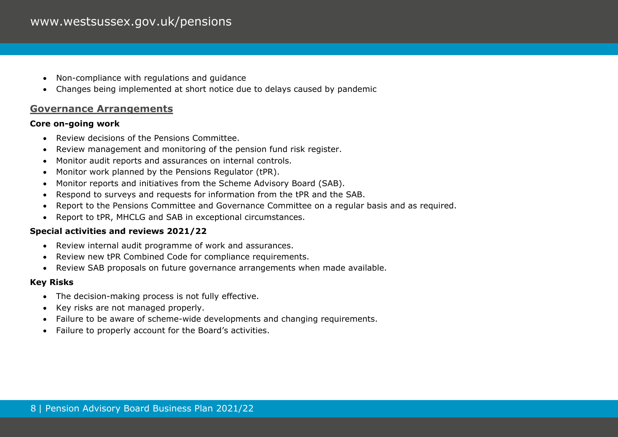## www.westsussex.gov.uk/pensions

- Non-compliance with regulations and guidance
- Changes being implemented at short notice due to delays caused by pandemic

#### **Governance Arrangements**

#### **Core on-going work**

- Review decisions of the Pensions Committee.
- Review management and monitoring of the pension fund risk register.
- Monitor audit reports and assurances on internal controls.
- Monitor work planned by the Pensions Regulator (tPR).
- Monitor reports and initiatives from the Scheme Advisory Board (SAB).
- Respond to surveys and requests for information from the tPR and the SAB.
- Report to the Pensions Committee and Governance Committee on a regular basis and as required.
- Report to tPR, MHCLG and SAB in exceptional circumstances.

#### **Special activities and reviews 2021/22**

- Review internal audit programme of work and assurances.
- Review new tPR Combined Code for compliance requirements.
- Review SAB proposals on future governance arrangements when made available.

#### **Key Risks**

- The decision-making process is not fully effective.
- Key risks are not managed properly.
- Failure to be aware of scheme-wide developments and changing requirements.
- Failure to properly account for the Board's activities.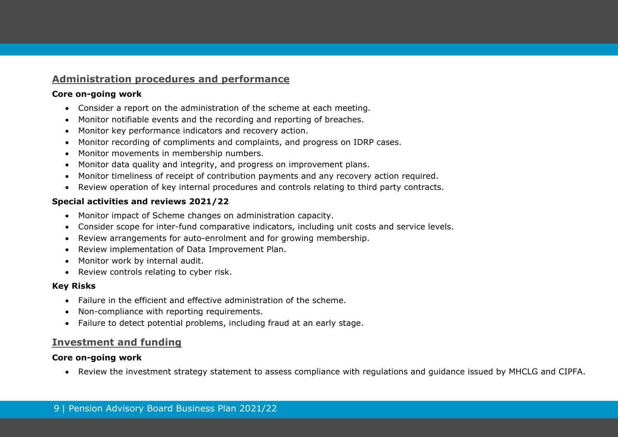## **Administration procedures and performance**

#### **Core on-going work**

- Consider a report on the administration of the scheme at each meeting.
- Monitor notifiable events and the recording and reporting of breaches.
- Monitor key performance indicators and recovery action.
- Monitor recording of compliments and complaints, and progress on IDRP cases.
- Monitor movements in membership numbers.
- Monitor data quality and integrity, and progress on improvement plans.
- Monitor timeliness of receipt of contribution payments and any recovery action required.
- Review operation of key internal procedures and controls relating to third party contracts.

## **Special activities and reviews 2021/22**

- Monitor impact of Scheme changes on administration capacity.
- Consider scope for inter-fund comparative indicators, including unit costs and service levels.
- Review arrangements for auto-enrolment and for growing membership.
- Review implementation of Data Improvement Plan.
- Monitor work by internal audit.
- Review controls relating to cyber risk.

## **Key Risks**

- Failure in the efficient and effective administration of the scheme.
- Non-compliance with reporting requirements.
- Failure to detect potential problems, including fraud at an early stage.

## **Investment and funding**

#### **Core on-going work**

• Review the investment strategy statement to assess compliance with regulations and guidance issued by MHCLG and CIPFA.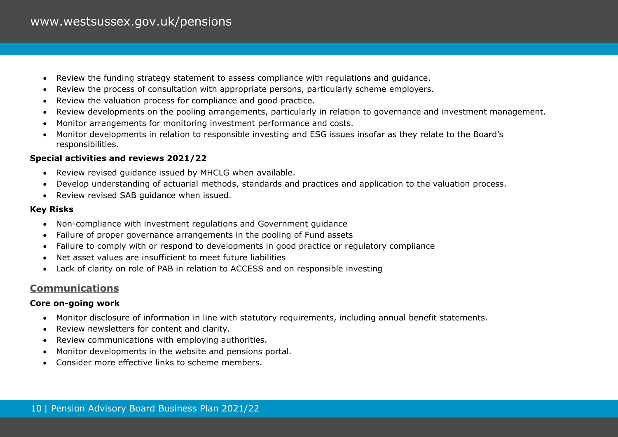- Review the funding strategy statement to assess compliance with regulations and guidance.
- Review the process of consultation with appropriate persons, particularly scheme employers.
- Review the valuation process for compliance and good practice.
- Review developments on the pooling arrangements, particularly in relation to governance and investment management.
- Monitor arrangements for monitoring investment performance and costs.
- Monitor developments in relation to responsible investing and ESG issues insofar as they relate to the Board's responsibilities.

#### **Special activities and reviews 2021/22**

- Review revised guidance issued by MHCLG when available.
- Develop understanding of actuarial methods, standards and practices and application to the valuation process.
- Review revised SAB guidance when issued.

#### **Key Risks**

- Non-compliance with investment regulations and Government guidance
- Failure of proper governance arrangements in the pooling of Fund assets
- Failure to comply with or respond to developments in good practice or regulatory compliance
- Net asset values are insufficient to meet future liabilities
- Lack of clarity on role of PAB in relation to ACCESS and on responsible investing

## **Communications**

#### **Core on-going work**

- Monitor disclosure of information in line with statutory requirements, including annual benefit statements.
- Review newsletters for content and clarity.
- Review communications with employing authorities.
- Monitor developments in the website and pensions portal.
- Consider more effective links to scheme members.